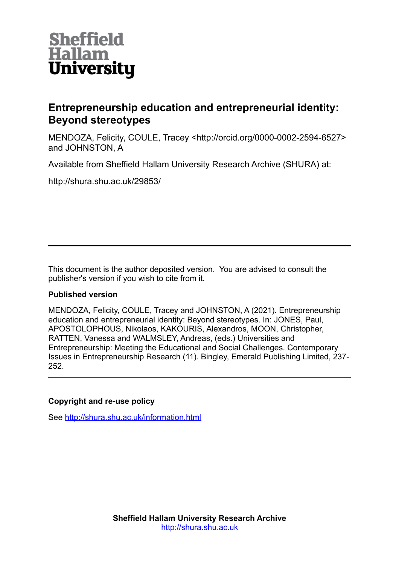

# **Entrepreneurship education and entrepreneurial identity: Beyond stereotypes**

MENDOZA, Felicity, COULE, Tracey <http://orcid.org/0000-0002-2594-6527> and JOHNSTON, A

Available from Sheffield Hallam University Research Archive (SHURA) at:

http://shura.shu.ac.uk/29853/

This document is the author deposited version. You are advised to consult the publisher's version if you wish to cite from it.

# **Published version**

MENDOZA, Felicity, COULE, Tracey and JOHNSTON, A (2021). Entrepreneurship education and entrepreneurial identity: Beyond stereotypes. In: JONES, Paul, APOSTOLOPHOUS, Nikolaos, KAKOURIS, Alexandros, MOON, Christopher, RATTEN, Vanessa and WALMSLEY, Andreas, (eds.) Universities and Entrepreneurship: Meeting the Educational and Social Challenges. Contemporary Issues in Entrepreneurship Research (11). Bingley, Emerald Publishing Limited, 237- 252.

# **Copyright and re-use policy**

See<http://shura.shu.ac.uk/information.html>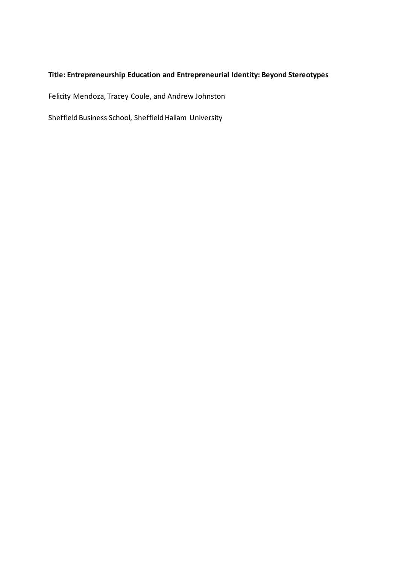# **Title: Entrepreneurship Education and Entrepreneurial Identity: Beyond Stereotypes**

Felicity Mendoza, Tracey Coule, and Andrew Johnston

Sheffield Business School, Sheffield Hallam University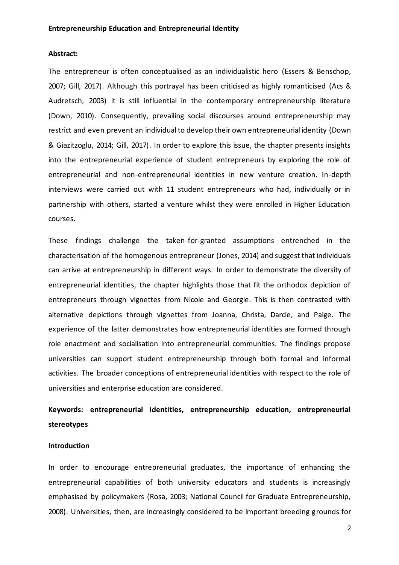#### **Abstract:**

The entrepreneur is often conceptualised as an individualistic hero (Essers & Benschop, 2007; Gill, 2017). Although this portrayal has been criticised as highly romanticised (Acs & Audretsch, 2003) it is still influential in the contemporary entrepreneurship literature (Down, 2010). Consequently, prevailing social discourses around entrepreneurship may restrict and even prevent an individual to develop their own entrepreneurial identity (Down & Giazitzoglu, 2014; Gill, 2017). In order to explore this issue, the chapter presents insights into the entrepreneurial experience of student entrepreneurs by exploring the role of entrepreneurial and non-entrepreneurial identities in new venture creation. In-depth interviews were carried out with 11 student entrepreneurs who had, individually or in partnership with others, started a venture whilst they were enrolled in Higher Education courses.

These findings challenge the taken-for-granted assumptions entrenched in the characterisation of the homogenous entrepreneur (Jones, 2014) and suggest that individuals can arrive at entrepreneurship in different ways. In order to demonstrate the diversity of entrepreneurial identities, the chapter highlights those that fit the orthodox depiction of entrepreneurs through vignettes from Nicole and Georgie. This is then contrasted with alternative depictions through vignettes from Joanna, Christa, Darcie, and Paige. The experience of the latter demonstrates how entrepreneurial identities are formed through role enactment and socialisation into entrepreneurial communities. The findings propose universities can support student entrepreneurship through both formal and informal activities. The broader conceptions of entrepreneurial identities with respect to the role of universities and enterprise education are considered.

# **Keywords: entrepreneurial identities, entrepreneurship education, entrepreneurial stereotypes**

## **Introduction**

In order to encourage entrepreneurial graduates, the importance of enhancing the entrepreneurial capabilities of both university educators and students is increasingly emphasised by policymakers (Rosa, 2003; National Council for Graduate Entrepreneurship, 2008). Universities, then, are increasingly considered to be important breeding grounds for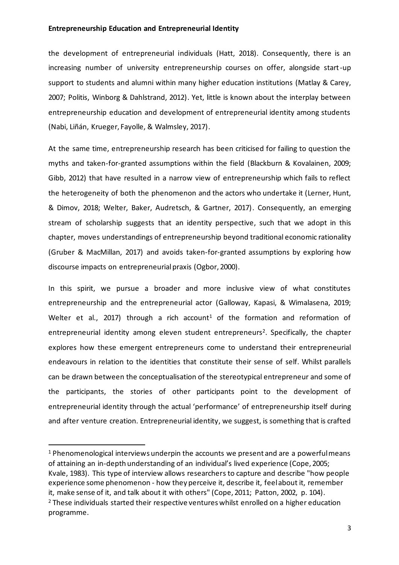the development of entrepreneurial individuals (Hatt, 2018). Consequently, there is an increasing number of university entrepreneurship courses on offer, alongside start-up support to students and alumni within many higher education institutions (Matlay & Carey, 2007; Politis, Winborg & Dahlstrand, 2012). Yet, little is known about the interplay between entrepreneurship education and development of entrepreneurial identity among students (Nabi, Liñán, Krueger, Fayolle, & Walmsley, 2017).

At the same time, entrepreneurship research has been criticised for failing to question the myths and taken-for-granted assumptions within the field (Blackburn & Kovalainen, 2009; Gibb, 2012) that have resulted in a narrow view of entrepreneurship which fails to reflect the heterogeneity of both the phenomenon and the actors who undertake it (Lerner, Hunt, & Dimov, 2018; Welter, Baker, Audretsch, & Gartner, 2017). Consequently, an emerging stream of scholarship suggests that an identity perspective, such that we adopt in this chapter, moves understandings of entrepreneurship beyond traditional economic rationality (Gruber & MacMillan, 2017) and avoids taken-for-granted assumptions by exploring how discourse impacts on entrepreneurial praxis (Ogbor, 2000).

In this spirit, we pursue a broader and more inclusive view of what constitutes entrepreneurship and the entrepreneurial actor (Galloway, Kapasi, & Wimalasena, 2019; Welter et al., 2017) through a rich account<sup>1</sup> of the formation and reformation of entrepreneurial identity among eleven student entrepreneurs<sup>2</sup>. Specifically, the chapter explores how these emergent entrepreneurs come to understand their entrepreneurial endeavours in relation to the identities that constitute their sense of self. Whilst parallels can be drawn between the conceptualisation of the stereotypical entrepreneur and some of the participants, the stories of other participants point to the development of entrepreneurial identity through the actual 'performance' of entrepreneurship itself during and after venture creation. Entrepreneurial identity, we suggest, is something that is crafted

<sup>1</sup> Phenomenological interviews underpin the accounts we present and are a powerful means of attaining an in-depth understanding of an individual's lived experience (Cope, 2005; Kvale, 1983). This type of interview allows researchers to capture and describe "how people experience some phenomenon - how they perceive it, describe it, feel about it, remember it, make sense of it, and talk about it with others" (Cope, 2011; Patton, 2002, p. 104). <sup>2</sup> These individuals started their respective ventures whilst enrolled on a higher education programme.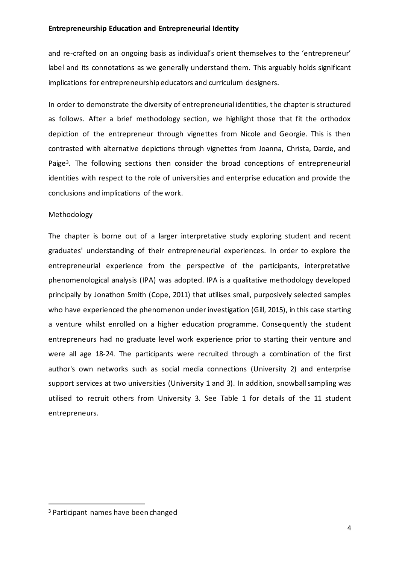and re-crafted on an ongoing basis as individual's orient themselves to the 'entrepreneur' label and its connotations as we generally understand them. This arguably holds significant implications for entrepreneurship educators and curriculum designers.

In order to demonstrate the diversity of entrepreneurial identities, the chapter is structured as follows. After a brief methodology section, we highlight those that fit the orthodox depiction of the entrepreneur through vignettes from Nicole and Georgie. This is then contrasted with alternative depictions through vignettes from Joanna, Christa, Darcie, and Paige<sup>3</sup>. The following sections then consider the broad conceptions of entrepreneurial identities with respect to the role of universities and enterprise education and provide the conclusions and implications of the work.

# Methodology

The chapter is borne out of a larger interpretative study exploring student and recent graduates' understanding of their entrepreneurial experiences. In order to explore the entrepreneurial experience from the perspective of the participants, interpretative phenomenological analysis (IPA) was adopted. IPA is a qualitative methodology developed principally by Jonathon Smith (Cope, 2011) that utilises small, purposively selected samples who have experienced the phenomenon under investigation (Gill, 2015), in this case starting a venture whilst enrolled on a higher education programme. Consequently the student entrepreneurs had no graduate level work experience prior to starting their venture and were all age 18-24. The participants were recruited through a combination of the first author's own networks such as social media connections (University 2) and enterprise support services at two universities (University 1 and 3). In addition, snowball sampling was utilised to recruit others from University 3. See Table 1 for details of the 11 student entrepreneurs.

<sup>3</sup> Participant names have been changed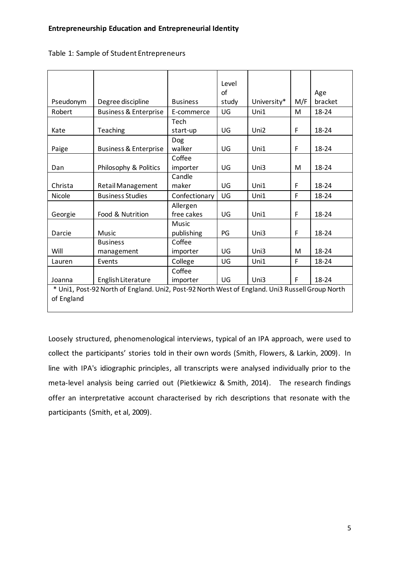|                                                                                                 |                                  |                 | Level |             |     |         |
|-------------------------------------------------------------------------------------------------|----------------------------------|-----------------|-------|-------------|-----|---------|
|                                                                                                 |                                  |                 | of    |             |     | Age     |
| Pseudonym                                                                                       | Degree discipline                | <b>Business</b> | study | University* | M/F | bracket |
| Robert                                                                                          | <b>Business &amp; Enterprise</b> | E-commerce      | UG    | Uni1        | M   | 18-24   |
|                                                                                                 |                                  | Tech            |       |             |     |         |
| Kate                                                                                            | Teaching                         | start-up        | UG    | Uni2        | F   | 18-24   |
|                                                                                                 |                                  | Dog             |       |             |     |         |
| Paige                                                                                           | <b>Business &amp; Enterprise</b> | walker          | UG    | Uni1        | F   | 18-24   |
|                                                                                                 |                                  | Coffee          |       |             |     |         |
| Dan                                                                                             | Philosophy & Politics            | importer        | UG    | Uni3        | M   | 18-24   |
|                                                                                                 |                                  | Candle          |       |             |     |         |
| Christa                                                                                         | <b>Retail Management</b>         | maker           | UG    | Uni1        | F   | 18-24   |
| Nicole                                                                                          | <b>Business Studies</b>          | Confectionary   | UG    | Uni1        | F   | 18-24   |
|                                                                                                 |                                  | Allergen        |       |             |     |         |
| Georgie                                                                                         | Food & Nutrition                 | free cakes      | UG    | Uni1        | F   | 18-24   |
|                                                                                                 |                                  | Music           |       |             |     |         |
| Darcie                                                                                          | Music                            | publishing      | PG    | Uni3        | F   | 18-24   |
|                                                                                                 | <b>Business</b>                  | Coffee          |       |             |     |         |
| Will                                                                                            | management                       | importer        | UG    | Uni3        | M   | 18-24   |
| Lauren                                                                                          | Events                           | College         | UG    | Uni1        | F   | 18-24   |
|                                                                                                 |                                  | Coffee          |       |             |     |         |
| Joanna                                                                                          | English Literature               | importer        | UG    | Uni3        | F   | 18-24   |
| * Uni1, Post-92 North of England. Uni2, Post-92 North West of England. Uni3 Russell Group North |                                  |                 |       |             |     |         |
| of England                                                                                      |                                  |                 |       |             |     |         |

Table 1: Sample of Student Entrepreneurs

Loosely structured, phenomenological interviews, typical of an IPA approach, were used to collect the participants' stories told in their own words (Smith, Flowers, & Larkin, 2009). In line with IPA's idiographic principles, all transcripts were analysed individually prior to the meta-level analysis being carried out (Pietkiewicz & Smith, 2014). The research findings offer an interpretative account characterised by rich descriptions that resonate with the participants (Smith, et al, 2009).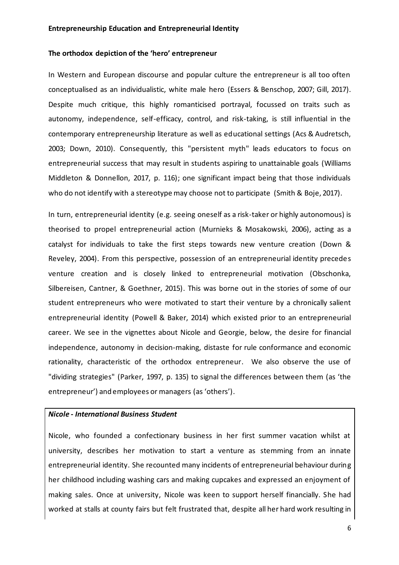#### **The orthodox depiction of the 'hero' entrepreneur**

In Western and European discourse and popular culture the entrepreneur is all too often conceptualised as an individualistic, white male hero (Essers & Benschop, 2007; Gill, 2017). Despite much critique, this highly romanticised portrayal, focussed on traits such as autonomy, independence, self-efficacy, control, and risk-taking, is still influential in the contemporary entrepreneurship literature as well as educational settings (Acs & Audretsch, 2003; Down, 2010). Consequently, this "persistent myth" leads educators to focus on entrepreneurial success that may result in students aspiring to unattainable goals (Williams Middleton & Donnellon, 2017, p. 116); one significant impact being that those individuals who do not identify with a stereotype may choose not to participate (Smith & Boje, 2017).

In turn, entrepreneurial identity (e.g. seeing oneself as a risk-taker or highly autonomous) is theorised to propel entrepreneurial action (Murnieks & Mosakowski, 2006), acting as a catalyst for individuals to take the first steps towards new venture creation (Down & Reveley, 2004). From this perspective, possession of an entrepreneurial identity precedes venture creation and is closely linked to entrepreneurial motivation (Obschonka, Silbereisen, Cantner, & Goethner, 2015). This was borne out in the stories of some of our student entrepreneurs who were motivated to start their venture by a chronically salient entrepreneurial identity (Powell & Baker, 2014) which existed prior to an entrepreneurial career. We see in the vignettes about Nicole and Georgie, below, the desire for financial independence, autonomy in decision-making, distaste for rule conformance and economic rationality, characteristic of the orthodox entrepreneur. We also observe the use of "dividing strategies" (Parker, 1997, p. 135) to signal the differences between them (as 'the entrepreneur') and employees or managers (as 'others').

## *Nicole - International Business Student*

Nicole, who founded a confectionary business in her first summer vacation whilst at university, describes her motivation to start a venture as stemming from an innate entrepreneurial identity. She recounted many incidents of entrepreneurial behaviour during her childhood including washing cars and making cupcakes and expressed an enjoyment of making sales. Once at university, Nicole was keen to support herself financially. She had worked at stalls at county fairs but felt frustrated that, despite all her hard work resulting in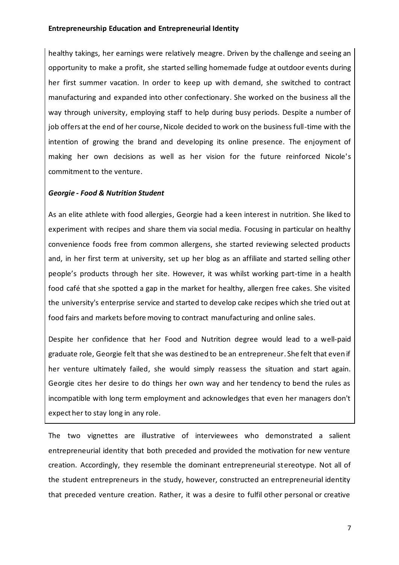healthy takings, her earnings were relatively meagre. Driven by the challenge and seeing an opportunity to make a profit, she started selling homemade fudge at outdoor events during her first summer vacation. In order to keep up with demand, she switched to contract manufacturing and expanded into other confectionary. She worked on the business all the way through university, employing staff to help during busy periods. Despite a number of job offers at the end of her course, Nicole decided to work on the business full-time with the intention of growing the brand and developing its online presence. The enjoyment of making her own decisions as well as her vision for the future reinforced Nicole's commitment to the venture.

# *Georgie - Food & Nutrition Student*

As an elite athlete with food allergies, Georgie had a keen interest in nutrition. She liked to experiment with recipes and share them via social media. Focusing in particular on healthy convenience foods free from common allergens, she started reviewing selected products and, in her first term at university, set up her blog as an affiliate and started selling other people's products through her site. However, it was whilst working part-time in a health food café that she spotted a gap in the market for healthy, allergen free cakes. She visited the university's enterprise service and started to develop cake recipes which she tried out at food fairs and markets before moving to contract manufacturing and online sales.

Despite her confidence that her Food and Nutrition degree would lead to a well-paid graduate role, Georgie felt that she was destined to be an entrepreneur. She felt that even if her venture ultimately failed, she would simply reassess the situation and start again. Georgie cites her desire to do things her own way and her tendency to bend the rules as incompatible with long term employment and acknowledges that even her managers don't expect her to stay long in any role.

The two vignettes are illustrative of interviewees who demonstrated a salient entrepreneurial identity that both preceded and provided the motivation for new venture creation. Accordingly, they resemble the dominant entrepreneurial stereotype. Not all of the student entrepreneurs in the study, however, constructed an entrepreneurial identity that preceded venture creation. Rather, it was a desire to fulfil other personal or creative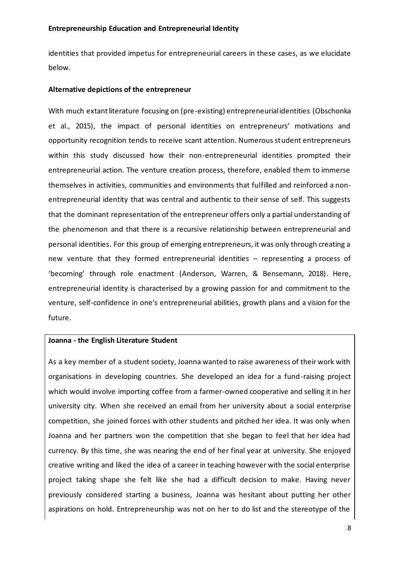identities that provided impetus for entrepreneurial careers in these cases, as we elucidate below.

#### **Alternative depictions of the entrepreneur**

With much extant literature focusing on (pre-existing) entrepreneurial identities (Obschonka et al., 2015), the impact of personal identities on entrepreneurs' motivations and opportunity recognition tends to receive scant attention. Numerous student entrepreneurs within this study discussed how their non-entrepreneurial identities prompted their entrepreneurial action. The venture creation process, therefore, enabled them to immerse themselves in activities, communities and environments that fulfilled and reinforced a nonentrepreneurial identity that was central and authentic to their sense of self. This suggests that the dominant representation of the entrepreneur offers only a partial understanding of the phenomenon and that there is a recursive relationship between entrepreneurial and personal identities. For this group of emerging entrepreneurs, it was only through creating a new venture that they formed entrepreneurial identities – representing a process of 'becoming' through role enactment (Anderson, Warren, & Bensemann, 2018). Here, entrepreneurial identity is characterised by a growing passion for and commitment to the venture, self-confidence in one's entrepreneurial abilities, growth plans and a vision for the future.

#### **Joanna - the English Literature Student**

As a key member of a student society, Joanna wanted to raise awareness of their work with organisations in developing countries. She developed an idea for a fund-raising project which would involve importing coffee from a farmer-owned cooperative and selling it in her university city. When she received an email from her university about a social enterprise competition, she joined forces with other students and pitched her idea. It was only when Joanna and her partners won the competition that she began to feel that her idea had currency. By this time, she was nearing the end of her final year at university. She enjoyed creative writing and liked the idea of a career in teaching however with the social enterprise project taking shape she felt like she had a difficult decision to make. Having never previously considered starting a business, Joanna was hesitant about putting her other aspirations on hold. Entrepreneurship was not on her to do list and the stereotype of the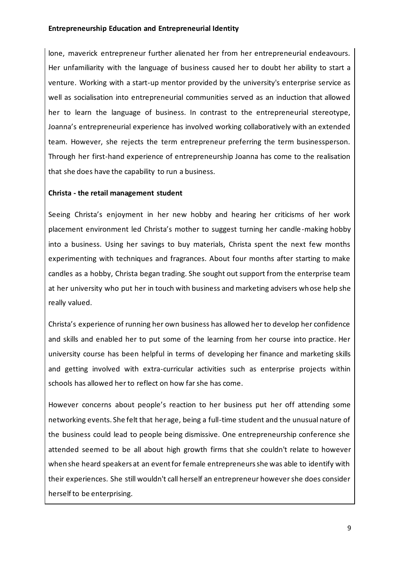lone, maverick entrepreneur further alienated her from her entrepreneurial endeavours. Her unfamiliarity with the language of business caused her to doubt her ability to start a venture. Working with a start-up mentor provided by the university's enterprise service as well as socialisation into entrepreneurial communities served as an induction that allowed her to learn the language of business. In contrast to the entrepreneurial stereotype, Joanna's entrepreneurial experience has involved working collaboratively with an extended team. However, she rejects the term entrepreneur preferring the term businessperson. Through her first-hand experience of entrepreneurship Joanna has come to the realisation that she does have the capability to run a business.

# **Christa - the retail management student**

Seeing Christa's enjoyment in her new hobby and hearing her criticisms of her work placement environment led Christa's mother to suggest turning her candle-making hobby into a business. Using her savings to buy materials, Christa spent the next few months experimenting with techniques and fragrances. About four months after starting to make candles as a hobby, Christa began trading. She sought out support from the enterprise team at her university who put her in touch with business and marketing advisers whose help she really valued.

Christa's experience of running her own business has allowed her to develop her confidence and skills and enabled her to put some of the learning from her course into practice. Her university course has been helpful in terms of developing her finance and marketing skills and getting involved with extra-curricular activities such as enterprise projects within schools has allowed her to reflect on how far she has come.

However concerns about people's reaction to her business put her off attending some networking events. She felt that her age, being a full-time student and the unusual nature of the business could lead to people being dismissive. One entrepreneurship conference she attended seemed to be all about high growth firms that she couldn't relate to however when she heard speakers at an event for female entrepreneurs she was able to identify with their experiences. She still wouldn't call herself an entrepreneur however she does consider herself to be enterprising.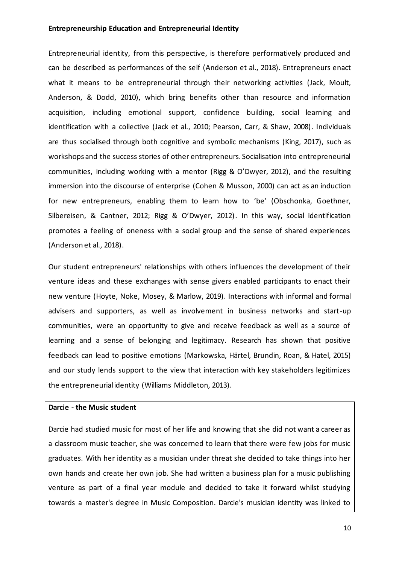Entrepreneurial identity, from this perspective, is therefore performatively produced and can be described as performances of the self (Anderson et al., 2018). Entrepreneurs enact what it means to be entrepreneurial through their networking activities (Jack, Moult, Anderson, & Dodd, 2010), which bring benefits other than resource and information acquisition, including emotional support, confidence building, social learning and identification with a collective (Jack et al., 2010; Pearson, Carr, & Shaw, 2008). Individuals are thus socialised through both cognitive and symbolic mechanisms (King, 2017), such as workshops and the success stories of other entrepreneurs. Socialisation into entrepreneurial communities, including working with a mentor (Rigg & O'Dwyer, 2012), and the resulting immersion into the discourse of enterprise (Cohen & Musson, 2000) can act as an induction for new entrepreneurs, enabling them to learn how to 'be' (Obschonka, Goethner, Silbereisen, & Cantner, 2012; Rigg & O'Dwyer, 2012). In this way, social identification promotes a feeling of oneness with a social group and the sense of shared experiences (Anderson et al., 2018).

Our student entrepreneurs' relationships with others influences the development of their venture ideas and these exchanges with sense givers enabled participants to enact their new venture (Hoyte, Noke, Mosey, & Marlow, 2019). Interactions with informal and formal advisers and supporters, as well as involvement in business networks and start-up communities, were an opportunity to give and receive feedback as well as a source of learning and a sense of belonging and legitimacy. Research has shown that positive feedback can lead to positive emotions (Markowska, Härtel, Brundin, Roan, & Hatel, 2015) and our study lends support to the view that interaction with key stakeholders legitimizes the entrepreneurial identity (Williams Middleton, 2013).

# **Darcie - the Music student**

Darcie had studied music for most of her life and knowing that she did not want a career as a classroom music teacher, she was concerned to learn that there were few jobs for music graduates. With her identity as a musician under threat she decided to take things into her own hands and create her own job. She had written a business plan for a music publishing venture as part of a final year module and decided to take it forward whilst studying towards a master's degree in Music Composition. Darcie's musician identity was linked to

10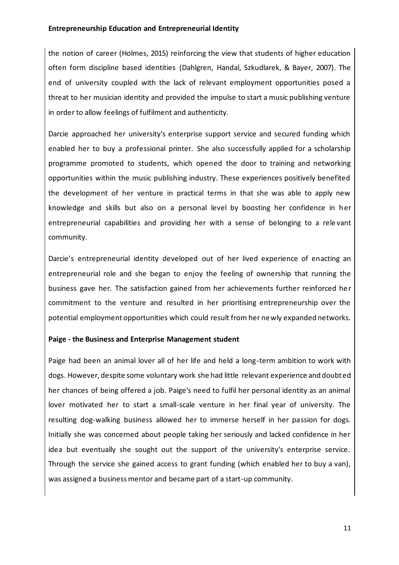the notion of career (Holmes, 2015) reinforcing the view that students of higher education often form discipline based identities (Dahlgren, Handal, Szkudlarek, & Bayer, 2007). The end of university coupled with the lack of relevant employment opportunities posed a threat to her musician identity and provided the impulse to start a music publishing venture in order to allow feelings of fulfilment and authenticity.

Darcie approached her university's enterprise support service and secured funding which enabled her to buy a professional printer. She also successfully applied for a scholarship programme promoted to students, which opened the door to training and networking opportunities within the music publishing industry. These experiences positively benefited the development of her venture in practical terms in that she was able to apply new knowledge and skills but also on a personal level by boosting her confidence in her entrepreneurial capabilities and providing her with a sense of belonging to a rele vant community.

Darcie's entrepreneurial identity developed out of her lived experience of enacting an entrepreneurial role and she began to enjoy the feeling of ownership that running the business gave her. The satisfaction gained from her achievements further reinforced he r commitment to the venture and resulted in her prioritising entrepreneurship over the potential employment opportunities which could result from her newly expanded networks.

# **Paige - the Business and Enterprise Management student**

Paige had been an animal lover all of her life and held a long-term ambition to work with dogs. However, despite some voluntary work she had little relevant experience and doubted her chances of being offered a job. Paige's need to fulfil her personal identity as an animal lover motivated her to start a small-scale venture in her final year of university. The resulting dog-walking business allowed her to immerse herself in her passion for dogs. Initially she was concerned about people taking her seriously and lacked confidence in her idea but eventually she sought out the support of the university's enterprise service. Through the service she gained access to grant funding (which enabled her to buy a van), was assigned a business mentor and became part of a start-up community.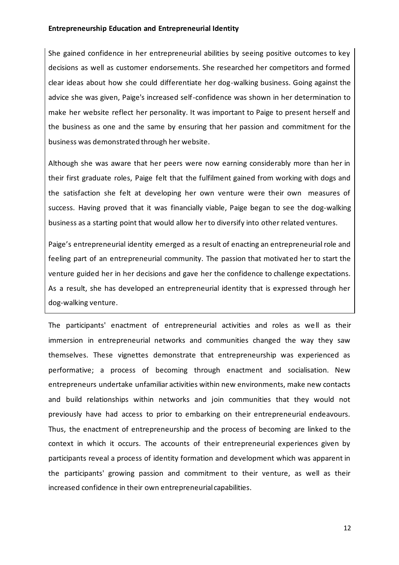She gained confidence in her entrepreneurial abilities by seeing positive outcomes to key decisions as well as customer endorsements. She researched her competitors and formed clear ideas about how she could differentiate her dog-walking business. Going against the advice she was given, Paige's increased self-confidence was shown in her determination to make her website reflect her personality. It was important to Paige to present herself and the business as one and the same by ensuring that her passion and commitment for the business was demonstrated through her website.

Although she was aware that her peers were now earning considerably more than her in their first graduate roles, Paige felt that the fulfilment gained from working with dogs and the satisfaction she felt at developing her own venture were their own measures of success. Having proved that it was financially viable, Paige began to see the dog-walking business as a starting point that would allow her to diversify into other related ventures.

Paige's entrepreneurial identity emerged as a result of enacting an entrepreneurial role and feeling part of an entrepreneurial community. The passion that motivated her to start the venture guided her in her decisions and gave her the confidence to challenge expectations. As a result, she has developed an entrepreneurial identity that is expressed through her dog-walking venture.

The participants' enactment of entrepreneurial activities and roles as well as their immersion in entrepreneurial networks and communities changed the way they saw themselves. These vignettes demonstrate that entrepreneurship was experienced as performative; a process of becoming through enactment and socialisation. New entrepreneurs undertake unfamiliar activities within new environments, make new contacts and build relationships within networks and join communities that they would not previously have had access to prior to embarking on their entrepreneurial endeavours. Thus, the enactment of entrepreneurship and the process of becoming are linked to the context in which it occurs. The accounts of their entrepreneurial experiences given by participants reveal a process of identity formation and development which was apparent in the participants' growing passion and commitment to their venture, as well as their increased confidence in their own entrepreneurial capabilities.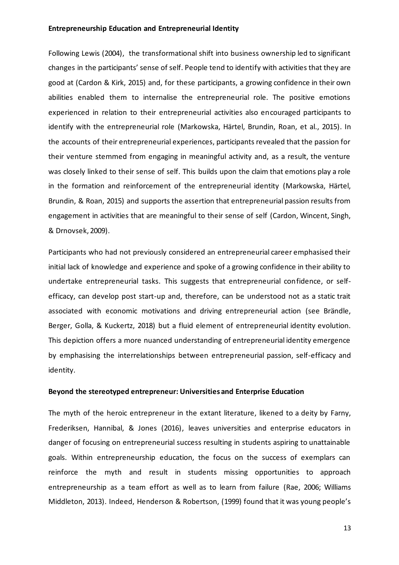Following Lewis (2004), the transformational shift into business ownership led to significant changes in the participants' sense of self. People tend to identify with activities that they are good at (Cardon & Kirk, 2015) and, for these participants, a growing confidence in their own abilities enabled them to internalise the entrepreneurial role. The positive emotions experienced in relation to their entrepreneurial activities also encouraged participants to identify with the entrepreneurial role (Markowska, Härtel, Brundin, Roan, et al., 2015). In the accounts of their entrepreneurial experiences, participants revealed that the passion for their venture stemmed from engaging in meaningful activity and, as a result, the venture was closely linked to their sense of self. This builds upon the claim that emotions play a role in the formation and reinforcement of the entrepreneurial identity (Markowska, Härtel, Brundin, & Roan, 2015) and supports the assertion that entrepreneurial passion results from engagement in activities that are meaningful to their sense of self (Cardon, Wincent, Singh, & Drnovsek, 2009).

Participants who had not previously considered an entrepreneurial career emphasised their initial lack of knowledge and experience and spoke of a growing confidence in their ability to undertake entrepreneurial tasks. This suggests that entrepreneurial confidence, or selfefficacy, can develop post start-up and, therefore, can be understood not as a static trait associated with economic motivations and driving entrepreneurial action (see Brändle, Berger, Golla, & Kuckertz, 2018) but a fluid element of entrepreneurial identity evolution. This depiction offers a more nuanced understanding of entrepreneurial identity emergence by emphasising the interrelationships between entrepreneurial passion, self-efficacy and identity.

#### **Beyond the stereotyped entrepreneur: Universities and Enterprise Education**

The myth of the heroic entrepreneur in the extant literature, likened to a deity by Farny, Frederiksen, Hannibal, & Jones (2016), leaves universities and enterprise educators in danger of focusing on entrepreneurial success resulting in students aspiring to unattainable goals. Within entrepreneurship education, the focus on the success of exemplars can reinforce the myth and result in students missing opportunities to approach entrepreneurship as a team effort as well as to learn from failure (Rae, 2006; Williams Middleton, 2013). Indeed, Henderson & Robertson, (1999) found that it was young people's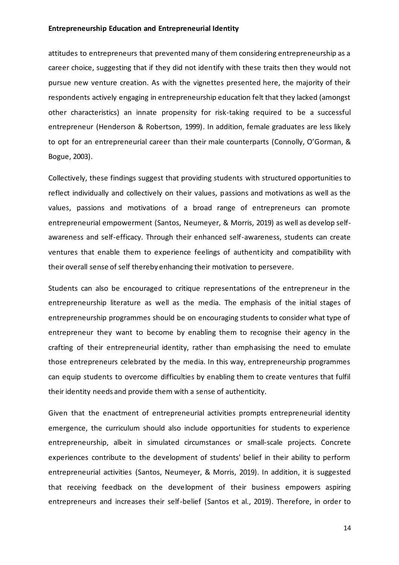attitudes to entrepreneurs that prevented many of them considering entrepreneurship as a career choice, suggesting that if they did not identify with these traits then they would not pursue new venture creation. As with the vignettes presented here, the majority of their respondents actively engaging in entrepreneurship education felt that they lacked (amongst other characteristics) an innate propensity for risk-taking required to be a successful entrepreneur (Henderson & Robertson, 1999). In addition, female graduates are less likely to opt for an entrepreneurial career than their male counterparts (Connolly, O'Gorman, & Bogue, 2003).

Collectively, these findings suggest that providing students with structured opportunities to reflect individually and collectively on their values, passions and motivations as well as the values, passions and motivations of a broad range of entrepreneurs can promote entrepreneurial empowerment (Santos, Neumeyer, & Morris, 2019) as well as develop selfawareness and self-efficacy. Through their enhanced self-awareness, students can create ventures that enable them to experience feelings of authenticity and compatibility with their overall sense of self thereby enhancing their motivation to persevere.

Students can also be encouraged to critique representations of the entrepreneur in the entrepreneurship literature as well as the media. The emphasis of the initial stages of entrepreneurship programmes should be on encouraging students to consider what type of entrepreneur they want to become by enabling them to recognise their agency in the crafting of their entrepreneurial identity, rather than emphasising the need to emulate those entrepreneurs celebrated by the media. In this way, entrepreneurship programmes can equip students to overcome difficulties by enabling them to create ventures that fulfil their identity needs and provide them with a sense of authenticity.

Given that the enactment of entrepreneurial activities prompts entrepreneurial identity emergence, the curriculum should also include opportunities for students to experience entrepreneurship, albeit in simulated circumstances or small-scale projects. Concrete experiences contribute to the development of students' belief in their ability to perform entrepreneurial activities (Santos, Neumeyer, & Morris, 2019). In addition, it is suggested that receiving feedback on the development of their business empowers aspiring entrepreneurs and increases their self-belief (Santos et al., 2019). Therefore, in order to

14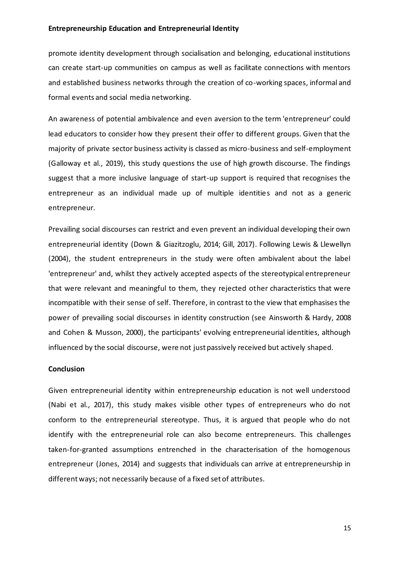promote identity development through socialisation and belonging, educational institutions can create start-up communities on campus as well as facilitate connections with mentors and established business networks through the creation of co-working spaces, informal and formal events and social media networking.

An awareness of potential ambivalence and even aversion to the term 'entrepreneur' could lead educators to consider how they present their offer to different groups. Given that the majority of private sector business activity is classed as micro-business and self-employment (Galloway et al., 2019), this study questions the use of high growth discourse. The findings suggest that a more inclusive language of start-up support is required that recognises the entrepreneur as an individual made up of multiple identities and not as a generic entrepreneur.

Prevailing social discourses can restrict and even prevent an individual developing their own entrepreneurial identity (Down & Giazitzoglu, 2014; Gill, 2017). Following Lewis & Llewellyn (2004), the student entrepreneurs in the study were often ambivalent about the label 'entrepreneur' and, whilst they actively accepted aspects of the stereotypical entrepreneur that were relevant and meaningful to them, they rejected other characteristics that were incompatible with their sense of self. Therefore, in contrast to the view that emphasises the power of prevailing social discourses in identity construction (see Ainsworth & Hardy, 2008 and Cohen & Musson, 2000), the participants' evolving entrepreneurial identities, although influenced by the social discourse, were not just passively received but actively shaped.

#### **Conclusion**

Given entrepreneurial identity within entrepreneurship education is not well understood (Nabi et al., 2017), this study makes visible other types of entrepreneurs who do not conform to the entrepreneurial stereotype. Thus, it is argued that people who do not identify with the entrepreneurial role can also become entrepreneurs. This challenges taken-for-granted assumptions entrenched in the characterisation of the homogenous entrepreneur (Jones, 2014) and suggests that individuals can arrive at entrepreneurship in different ways; not necessarily because of a fixed set of attributes.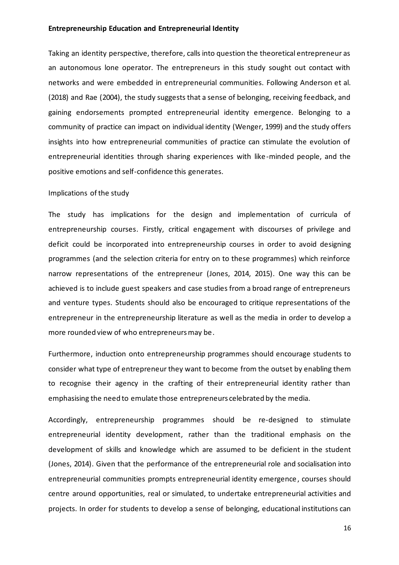Taking an identity perspective, therefore, calls into question the theoretical entrepreneur as an autonomous lone operator. The entrepreneurs in this study sought out contact with networks and were embedded in entrepreneurial communities. Following Anderson et al. (2018) and Rae (2004), the study suggests that a sense of belonging, receiving feedback, and gaining endorsements prompted entrepreneurial identity emergence. Belonging to a community of practice can impact on individual identity (Wenger, 1999) and the study offers insights into how entrepreneurial communities of practice can stimulate the evolution of entrepreneurial identities through sharing experiences with like-minded people, and the positive emotions and self-confidence this generates.

#### Implications of the study

The study has implications for the design and implementation of curricula of entrepreneurship courses. Firstly, critical engagement with discourses of privilege and deficit could be incorporated into entrepreneurship courses in order to avoid designing programmes (and the selection criteria for entry on to these programmes) which reinforce narrow representations of the entrepreneur (Jones, 2014, 2015). One way this can be achieved is to include guest speakers and case studies from a broad range of entrepreneurs and venture types. Students should also be encouraged to critique representations of the entrepreneur in the entrepreneurship literature as well as the media in order to develop a more rounded view of who entrepreneurs may be.

Furthermore, induction onto entrepreneurship programmes should encourage students to consider what type of entrepreneur they want to become from the outset by enabling them to recognise their agency in the crafting of their entrepreneurial identity rather than emphasising the need to emulate those entrepreneurs celebrated by the media.

Accordingly, entrepreneurship programmes should be re-designed to stimulate entrepreneurial identity development, rather than the traditional emphasis on the development of skills and knowledge which are assumed to be deficient in the student (Jones, 2014). Given that the performance of the entrepreneurial role and socialisation into entrepreneurial communities prompts entrepreneurial identity emergence, courses should centre around opportunities, real or simulated, to undertake entrepreneurial activities and projects. In order for students to develop a sense of belonging, educational institutions can

16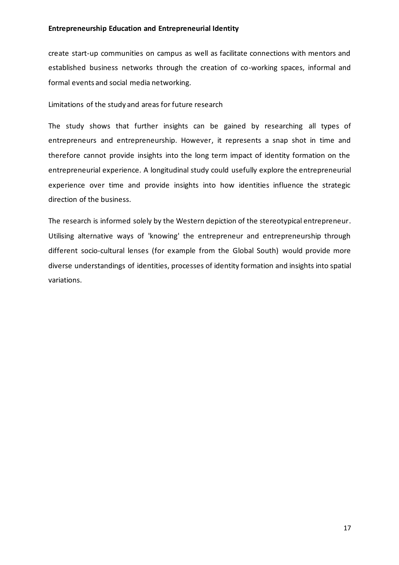create start-up communities on campus as well as facilitate connections with mentors and established business networks through the creation of co-working spaces, informal and formal events and social media networking.

Limitations of the study and areas for future research

The study shows that further insights can be gained by researching all types of entrepreneurs and entrepreneurship. However, it represents a snap shot in time and therefore cannot provide insights into the long term impact of identity formation on the entrepreneurial experience. A longitudinal study could usefully explore the entrepreneurial experience over time and provide insights into how identities influence the strategic direction of the business.

The research is informed solely by the Western depiction of the stereotypical entrepreneur. Utilising alternative ways of 'knowing' the entrepreneur and entrepreneurship through different socio-cultural lenses (for example from the Global South) would provide more diverse understandings of identities, processes of identity formation and insights into spatial variations.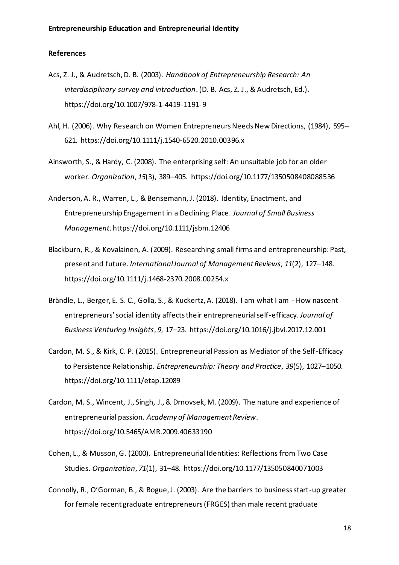#### **References**

- Acs, Z. J., & Audretsch, D. B. (2003). *Handbook of Entrepreneurship Research: An interdisciplinary survey and introduction*. (D. B. Acs, Z. J., & Audretsch, Ed.). https://doi.org/10.1007/978-1-4419-1191-9
- Ahl, H. (2006). Why Research on Women Entrepreneurs Needs New Directions, (1984), 595– 621. https://doi.org/10.1111/j.1540-6520.2010.00396.x
- Ainsworth, S., & Hardy, C. (2008). The enterprising self: An unsuitable job for an older worker. *Organization*, *15*(3), 389–405. https://doi.org/10.1177/1350508408088536
- Anderson, A. R., Warren, L., & Bensemann, J. (2018). Identity, Enactment, and Entrepreneurship Engagement in a Declining Place. *Journal of Small Business Management*. https://doi.org/10.1111/jsbm.12406
- Blackburn, R., & Kovalainen, A. (2009). Researching small firms and entrepreneurship: Past, present and future. *International Journal of Management Reviews*, *11*(2), 127–148. https://doi.org/10.1111/j.1468-2370.2008.00254.x
- Brändle, L., Berger, E. S. C., Golla, S., & Kuckertz, A. (2018). I am what I am How nascent entrepreneurs' social identity affects their entrepreneurial self-efficacy. *Journal of Business Venturing Insights*, *9*, 17–23. https://doi.org/10.1016/j.jbvi.2017.12.001
- Cardon, M. S., & Kirk, C. P. (2015). Entrepreneurial Passion as Mediator of the Self-Efficacy to Persistence Relationship. *Entrepreneurship: Theory and Practice*, *39*(5), 1027–1050. https://doi.org/10.1111/etap.12089
- Cardon, M. S., Wincent, J., Singh, J., & Drnovsek, M. (2009). The nature and experience of entrepreneurial passion. *Academy of Management Review*. https://doi.org/10.5465/AMR.2009.40633190
- Cohen, L., & Musson, G. (2000). Entrepreneurial Identities: Reflections from Two Case Studies. *Organization*, *71*(1), 31–48. https://doi.org/10.1177/135050840071003
- Connolly, R., O'Gorman, B., & Bogue, J. (2003). Are the barriers to business start-up greater for female recent graduate entrepreneurs (FRGES) than male recent graduate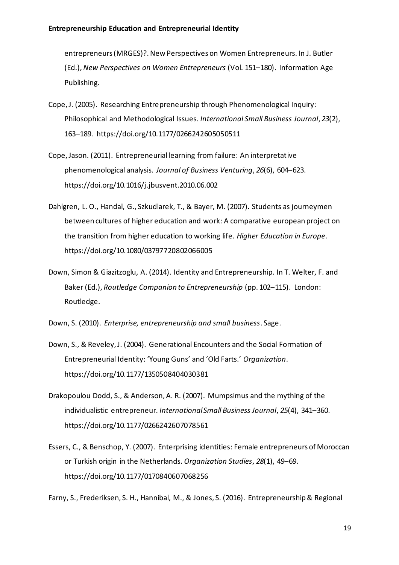entrepreneurs (MRGES)?. New Perspectives on Women Entrepreneurs. In J. Butler (Ed.), *New Perspectives on Women Entrepreneurs* (Vol. 151–180). Information Age Publishing.

- Cope, J. (2005). Researching Entrepreneurship through Phenomenological Inquiry: Philosophical and Methodological Issues. *International Small Business Journal*, *23*(2), 163–189. https://doi.org/10.1177/0266242605050511
- Cope, Jason. (2011). Entrepreneurial learning from failure: An interpretative phenomenological analysis. *Journal of Business Venturing*, *26*(6), 604–623. https://doi.org/10.1016/j.jbusvent.2010.06.002
- Dahlgren, L. O., Handal, G., Szkudlarek, T., & Bayer, M. (2007). Students as journeymen between cultures of higher education and work: A comparative european project on the transition from higher education to working life. *Higher Education in Europe*. https://doi.org/10.1080/03797720802066005
- Down, Simon & Giazitzoglu, A. (2014). Identity and Entrepreneurship. In T. Welter, F. and Baker (Ed.), *Routledge Companion to Entrepreneurship* (pp. 102–115). London: Routledge.

Down, S. (2010). *Enterprise, entrepreneurship and small business*. Sage.

- Down, S., & Reveley, J. (2004). Generational Encounters and the Social Formation of Entrepreneurial Identity: 'Young Guns' and 'Old Farts.' *Organization*. https://doi.org/10.1177/1350508404030381
- Drakopoulou Dodd, S., & Anderson, A. R. (2007). Mumpsimus and the mything of the individualistic entrepreneur. *International Small Business Journal*, *25*(4), 341–360. https://doi.org/10.1177/0266242607078561
- Essers, C., & Benschop, Y. (2007). Enterprising identities: Female entrepreneurs of Moroccan or Turkish origin in the Netherlands. *Organization Studies*, *28*(1), 49–69. https://doi.org/10.1177/0170840607068256

Farny, S., Frederiksen, S. H., Hannibal, M., & Jones, S. (2016). Entrepreneurship & Regional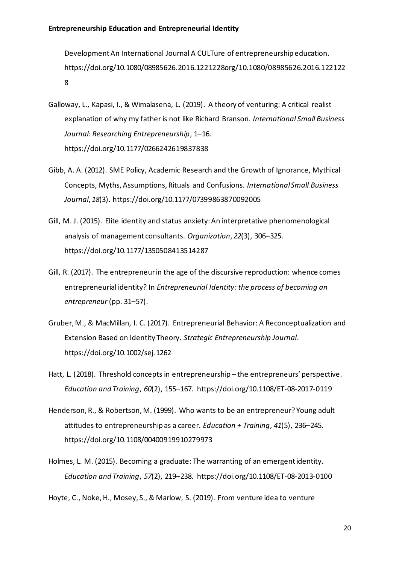Development An International Journal A CULTure of entrepreneurship education. https://doi.org/10.1080/08985626.2016.1221228org/10.1080/08985626.2016.122122 8

- Galloway, L., Kapasi, I., & Wimalasena, L. (2019). A theory of venturing: A critical realist explanation of why my father is not like Richard Branson. *International Small Business Journal: Researching Entrepreneurship*, 1–16. https://doi.org/10.1177/0266242619837838
- Gibb, A. A. (2012). SME Policy, Academic Research and the Growth of Ignorance, Mythical Concepts, Myths, Assumptions, Rituals and Confusions. *International Small Business Journal*, *18*(3). https://doi.org/10.1177/07399863870092005
- Gill, M. J. (2015). Elite identity and status anxiety: An interpretative phenomenological analysis of management consultants. *Organization*, *22*(3), 306–325. https://doi.org/10.1177/1350508413514287
- Gill, R. (2017). The entrepreneur in the age of the discursive reproduction: whence comes entrepreneurial identity? In *Entrepreneurial Identity: the process of becoming an entrepreneur* (pp. 31–57).
- Gruber, M., & MacMillan, I. C. (2017). Entrepreneurial Behavior: A Reconceptualization and Extension Based on Identity Theory. *Strategic Entrepreneurship Journal*. https://doi.org/10.1002/sej.1262
- Hatt, L. (2018). Threshold concepts in entrepreneurship the entrepreneurs' perspective. *Education and Training*, *60*(2), 155–167. https://doi.org/10.1108/ET-08-2017-0119
- Henderson, R., & Robertson, M. (1999). Who wants to be an entrepreneur? Young adult attitudes to entrepreneurship as a career. *Education + Training*, *41*(5), 236–245. https://doi.org/10.1108/00400919910279973
- Holmes, L. M. (2015). Becoming a graduate: The warranting of an emergent identity. *Education and Training*, *57*(2), 219–238. https://doi.org/10.1108/ET-08-2013-0100

Hoyte, C., Noke, H., Mosey, S., & Marlow, S. (2019). From venture idea to venture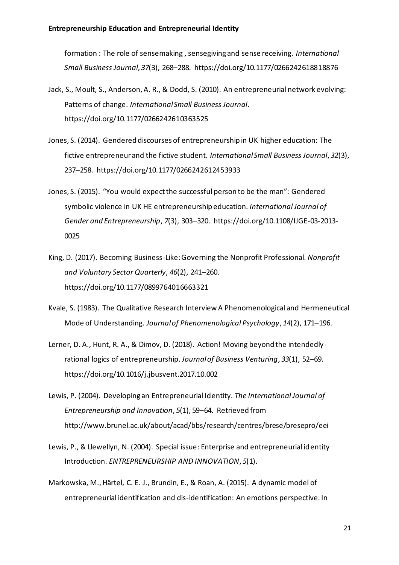formation : The role of sensemaking , sensegiving and sense receiving. *International Small Business Journal*, *37*(3), 268–288. https://doi.org/10.1177/0266242618818876

- Jack, S., Moult, S., Anderson, A. R., & Dodd, S. (2010). An entrepreneurial network evolving: Patterns of change. *International Small Business Journal*. https://doi.org/10.1177/0266242610363525
- Jones, S. (2014). Gendered discourses of entrepreneurship in UK higher education: The fictive entrepreneur and the fictive student. *International Small Business Journal*, *32*(3), 237–258. https://doi.org/10.1177/0266242612453933
- Jones, S. (2015). "You would expect the successful person to be the man": Gendered symbolic violence in UK HE entrepreneurship education. *International Journal of Gender and Entrepreneurship*, *7*(3), 303–320. https://doi.org/10.1108/IJGE-03-2013- 0025
- King, D. (2017). Becoming Business-Like: Governing the Nonprofit Professional. *Nonprofit and Voluntary Sector Quarterly*, *46*(2), 241–260. https://doi.org/10.1177/0899764016663321
- Kvale, S. (1983). The Qualitative Research Interview A Phenomenological and Hermeneutical Mode of Understanding. *Journal of Phenomenological Psychology*, *14*(2), 171–196.
- Lerner, D. A., Hunt, R. A., & Dimov, D. (2018). Action! Moving beyond the intendedlyrational logics of entrepreneurship. *Journal of Business Venturing*, *33*(1), 52–69. https://doi.org/10.1016/j.jbusvent.2017.10.002
- Lewis, P. (2004). Developing an Entrepreneurial Identity. *The International Journal of Entrepreneurship and Innovation*, *5*(1), 59–64. Retrieved from http://www.brunel.ac.uk/about/acad/bbs/research/centres/brese/bresepro/eei
- Lewis, P., & Llewellyn, N. (2004). Special issue: Enterprise and entrepreneurial identity Introduction. *ENTREPRENEURSHIP AND INNOVATION*, *5*(1).
- Markowska, M., Härtel, C. E. J., Brundin, E., & Roan, A. (2015). A dynamic model of entrepreneurial identification and dis-identification: An emotions perspective. In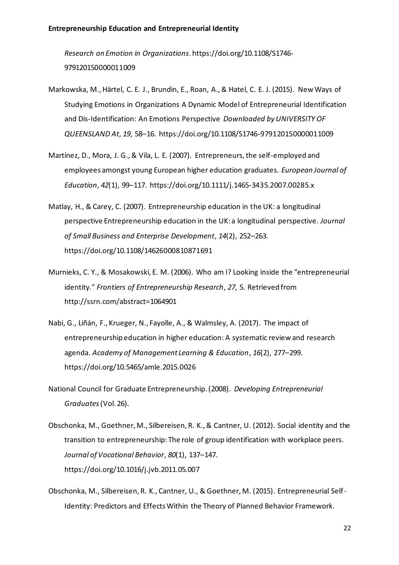*Research on Emotion in Organizations*. https://doi.org/10.1108/S1746- 979120150000011009

- Markowska, M., Härtel, C. E. J., Brundin, E., Roan, A., & Hatel, C. E. J. (2015). New Ways of Studying Emotions in Organizations A Dynamic Model of Entrepreneurial Identification and Dis-Identification: An Emotions Perspective *Downloaded by UNIVERSITY OF QUEENSLAND At*, *19*, 58–16. https://doi.org/10.1108/S1746-979120150000011009
- Martínez, D., Mora, J. G., & Vila, L. E. (2007). Entrepreneurs, the self-employed and employees amongst young European higher education graduates. *European Journal of Education*, *42*(1), 99–117. https://doi.org/10.1111/j.1465-3435.2007.00285.x
- Matlay, H., & Carey, C. (2007). Entrepreneurship education in the UK: a longitudinal perspective Entrepreneurship education in the UK: a longitudinal perspective. *Journal of Small Business and Enterprise Development*, *14*(2), 252–263. https://doi.org/10.1108/14626000810871691
- Murnieks, C. Y., & Mosakowski, E. M. (2006). Who am I? Looking inside the "entrepreneurial identity." *Frontiers of Entrepreneurship Research*, *27*, 5. Retrieved from http://ssrn.com/abstract=1064901
- Nabi, G., Liñán, F., Krueger, N., Fayolle, A., & Walmsley, A. (2017). The impact of entrepreneurship education in higher education: A systematic review and research agenda. *Academy of Management Learning & Education*, *16*(2), 277–299. https://doi.org/10.5465/amle.2015.0026
- National Council for Graduate Entrepreneurship. (2008). *Developing Entrepreneurial Graduates*(Vol. 26).
- Obschonka, M., Goethner, M., Silbereisen, R. K., & Cantner, U. (2012). Social identity and the transition to entrepreneurship: The role of group identification with workplace peers. *Journal of Vocational Behavior*, *80*(1), 137–147. https://doi.org/10.1016/j.jvb.2011.05.007
- Obschonka, M., Silbereisen, R. K., Cantner, U., & Goethner, M. (2015). Entrepreneurial Self-Identity: Predictors and Effects Within the Theory of Planned Behavior Framework.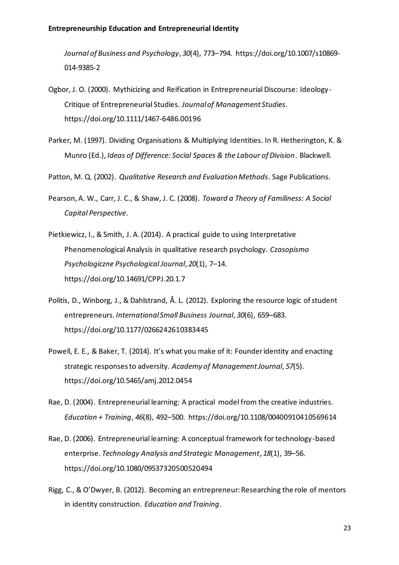*Journal of Business and Psychology*, *30*(4), 773–794. https://doi.org/10.1007/s10869- 014-9385-2

- Ogbor, J. O. (2000). Mythicizing and Reification in Entrepreneurial Discourse: Ideology-Critique of Entrepreneurial Studies. *Journal of Management Studies*. https://doi.org/10.1111/1467-6486.00196
- Parker, M. (1997). Dividing Organisations & Multiplying Identities. In R. Hetherington, K. & Munro (Ed.), *Ideas of Difference: Social Spaces & the Labour of Division*. Blackwell.

Patton, M. Q. (2002). *Qualitative Research and Evaluation Methods*. Sage Publications.

- Pearson, A. W., Carr, J. C., & Shaw, J. C. (2008). *Toward a Theory of Familiness: A Social Capital Perspective*.
- Pietkiewicz, I., & Smith, J. A. (2014). A practical guide to using Interpretative Phenomenological Analysis in qualitative research psychology. *Czasopismo Psychologiczne Psychological Journal*, *20*(1), 7–14. https://doi.org/10.14691/CPPJ.20.1.7
- Politis, D., Winborg, J., & Dahlstrand, Å. L. (2012). Exploring the resource logic of student entrepreneurs. *International Small Business Journal*, *30*(6), 659–683. https://doi.org/10.1177/0266242610383445
- Powell, E. E., & Baker, T. (2014). It's what you make of it: Founder identity and enacting strategic responses to adversity. *Academy of Management Journal*, *57*(5). https://doi.org/10.5465/amj.2012.0454
- Rae, D. (2004). Entrepreneurial learning: A practical model from the creative industries. *Education + Training*, *46*(8), 492–500. https://doi.org/10.1108/00400910410569614
- Rae, D. (2006). Entrepreneurial learning: A conceptual framework for technology-based enterprise. *Technology Analysis and Strategic Management*, *18*(1), 39–56. https://doi.org/10.1080/09537320500520494
- Rigg, C., & O'Dwyer, B. (2012). Becoming an entrepreneur: Researching the role of mentors in identity construction. *Education and Training*.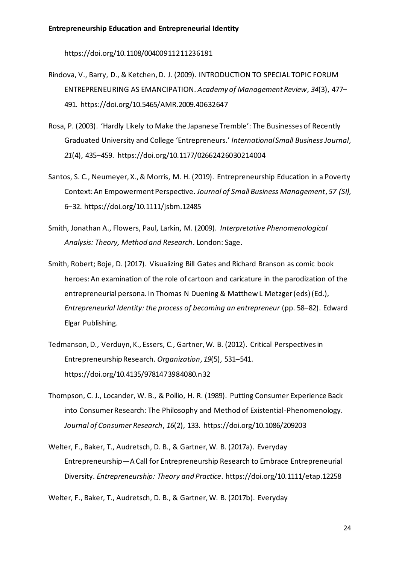https://doi.org/10.1108/00400911211236181

- Rindova, V., Barry, D., & Ketchen, D. J. (2009). INTRODUCTION TO SPECIAL TOPIC FORUM ENTREPRENEURING AS EMANCIPATION. *Academy of Management Review*, *34*(3), 477– 491. https://doi.org/10.5465/AMR.2009.40632647
- Rosa, P. (2003). 'Hardly Likely to Make the Japanese Tremble': The Businesses of Recently Graduated University and College 'Entrepreneurs.' *International Small Business Journal*, *21*(4), 435–459. https://doi.org/10.1177/02662426030214004
- Santos, S. C., Neumeyer, X., & Morris, M. H. (2019). Entrepreneurship Education in a Poverty Context: An Empowerment Perspective. *Journal of Small Business Management*, *57 (SI)*, 6–32. https://doi.org/10.1111/jsbm.12485
- Smith, Jonathan A., Flowers, Paul, Larkin, M. (2009). *Interpretative Phenomenological Analysis: Theory, Method and Research*. London: Sage.
- Smith, Robert; Boje, D. (2017). Visualizing Bill Gates and Richard Branson as comic book heroes: An examination of the role of cartoon and caricature in the parodization of the entrepreneurial persona. In Thomas N Duening & Matthew L Metzger (eds) (Ed.), *Entrepreneurial Identity: the process of becoming an entrepreneur* (pp. 58–82). Edward Elgar Publishing.
- Tedmanson, D., Verduyn, K., Essers, C., Gartner, W. B. (2012). Critical Perspectives in Entrepreneurship Research. *Organization*, *19*(5), 531–541. https://doi.org/10.4135/9781473984080.n32
- Thompson, C. J., Locander, W. B., & Pollio, H. R. (1989). Putting Consumer Experience Back into Consumer Research: The Philosophy and Method of Existential-Phenomenology. *Journal of Consumer Research*, *16*(2), 133. https://doi.org/10.1086/209203
- Welter, F., Baker, T., Audretsch, D. B., & Gartner, W. B. (2017a). Everyday Entrepreneurship—A Call for Entrepreneurship Research to Embrace Entrepreneurial Diversity. *Entrepreneurship: Theory and Practice*. https://doi.org/10.1111/etap.12258

Welter, F., Baker, T., Audretsch, D. B., & Gartner, W. B. (2017b). Everyday